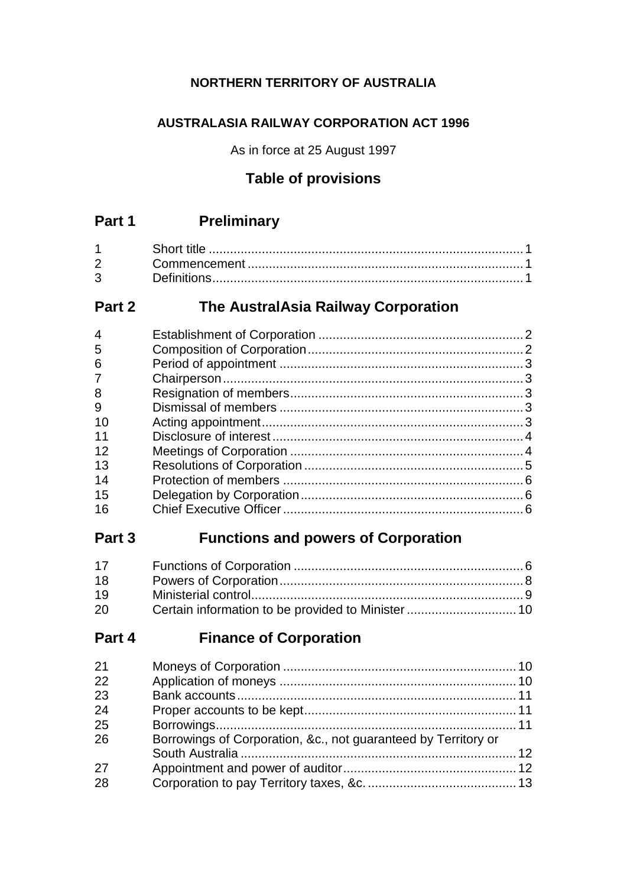## **NORTHERN TERRITORY OF AUSTRALIA**

## **AUSTRALASIA RAILWAY CORPORATION ACT 1996**

As in force at 25 August 1997

# **Table of provisions**

# **Part 1 Preliminary**

| $3^{\circ}$ |  |
|-------------|--|

# **Part 2 The AustralAsia Railway Corporation**

| 4              |  |
|----------------|--|
| 5              |  |
| 6              |  |
| $\overline{7}$ |  |
| 8              |  |
| 9              |  |
| 10             |  |
| 11             |  |
| 12             |  |
| 13             |  |
| 14             |  |
| 15             |  |
| 16             |  |
|                |  |

# **Part 3 Functions and powers of Corporation**

| 17 |  |
|----|--|
| 18 |  |
| 19 |  |
| 20 |  |

# **Part 4 Finance of Corporation**

| 21 |                                                                |  |
|----|----------------------------------------------------------------|--|
| 22 |                                                                |  |
| 23 |                                                                |  |
| 24 |                                                                |  |
| 25 |                                                                |  |
| 26 | Borrowings of Corporation, &c., not guaranteed by Territory or |  |
|    |                                                                |  |
| 27 |                                                                |  |
| 28 |                                                                |  |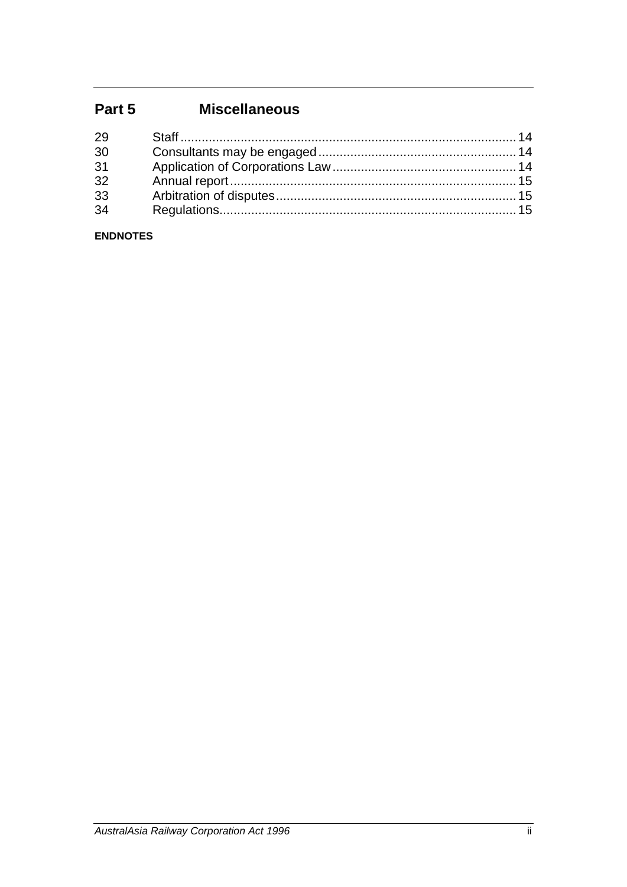# **Part 5 Miscellaneous**

| 29 |  |
|----|--|
| 30 |  |
| 31 |  |
| 32 |  |
| 33 |  |
| 34 |  |
|    |  |

## **ENDNOTES**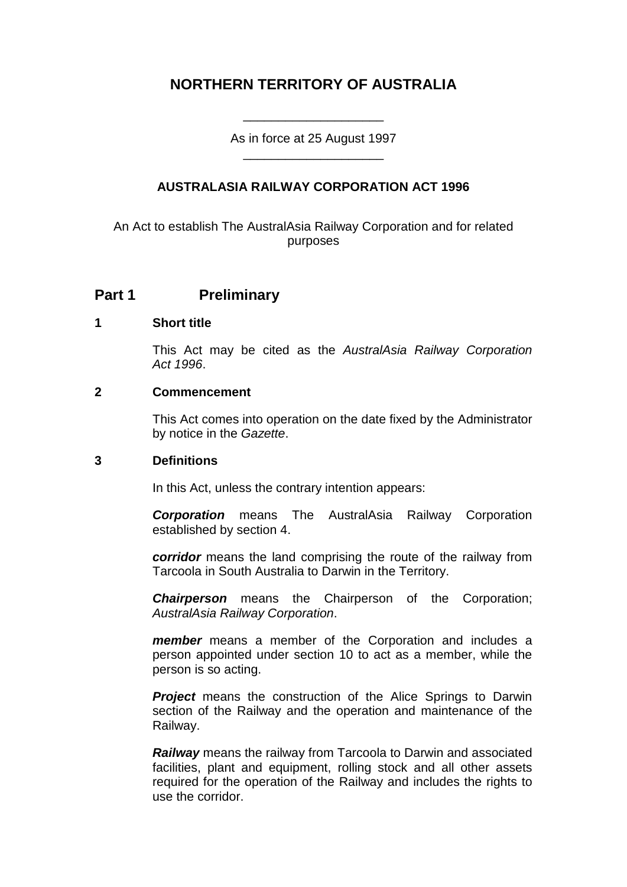# **NORTHERN TERRITORY OF AUSTRALIA**

As in force at 25 August 1997 \_\_\_\_\_\_\_\_\_\_\_\_\_\_\_\_\_\_\_\_

\_\_\_\_\_\_\_\_\_\_\_\_\_\_\_\_\_\_\_\_

## **AUSTRALASIA RAILWAY CORPORATION ACT 1996**

An Act to establish The AustralAsia Railway Corporation and for related purposes

## **Part 1 Preliminary**

## **1 Short title**

This Act may be cited as the *AustralAsia Railway Corporation Act 1996*.

#### **2 Commencement**

This Act comes into operation on the date fixed by the Administrator by notice in the *Gazette*.

#### **3 Definitions**

In this Act, unless the contrary intention appears:

*Corporation* means The AustralAsia Railway Corporation established by section 4.

*corridor* means the land comprising the route of the railway from Tarcoola in South Australia to Darwin in the Territory.

*Chairperson* means the Chairperson of the Corporation; *AustralAsia Railway Corporation*.

*member* means a member of the Corporation and includes a person appointed under section 10 to act as a member, while the person is so acting.

**Project** means the construction of the Alice Springs to Darwin section of the Railway and the operation and maintenance of the Railway.

*Railway* means the railway from Tarcoola to Darwin and associated facilities, plant and equipment, rolling stock and all other assets required for the operation of the Railway and includes the rights to use the corridor.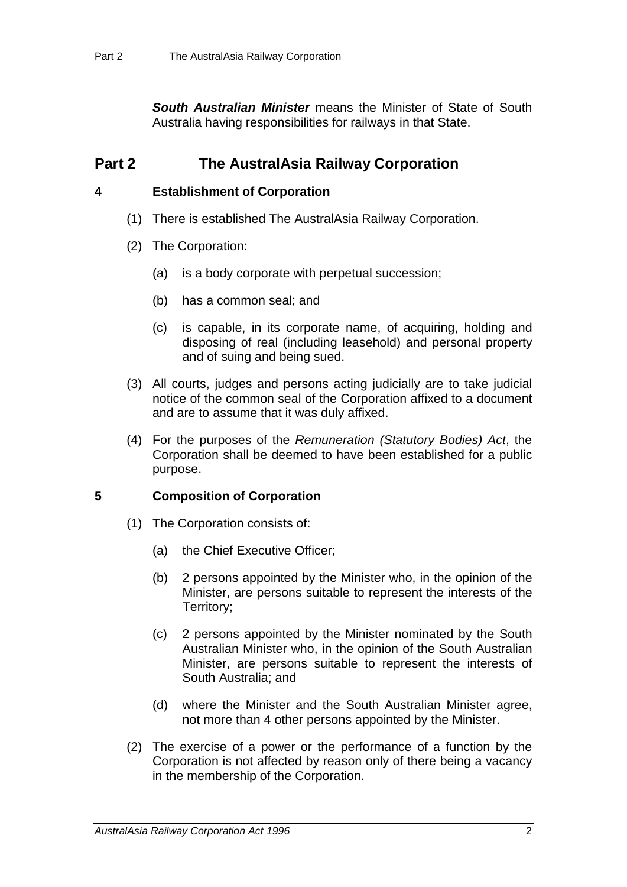*South Australian Minister* means the Minister of State of South Australia having responsibilities for railways in that State.

## **Part 2 The AustralAsia Railway Corporation**

## **4 Establishment of Corporation**

- (1) There is established The AustralAsia Railway Corporation.
- (2) The Corporation:
	- (a) is a body corporate with perpetual succession;
	- (b) has a common seal; and
	- (c) is capable, in its corporate name, of acquiring, holding and disposing of real (including leasehold) and personal property and of suing and being sued.
- (3) All courts, judges and persons acting judicially are to take judicial notice of the common seal of the Corporation affixed to a document and are to assume that it was duly affixed.
- (4) For the purposes of the *Remuneration (Statutory Bodies) Act*, the Corporation shall be deemed to have been established for a public purpose.

## **5 Composition of Corporation**

- (1) The Corporation consists of:
	- (a) the Chief Executive Officer;
	- (b) 2 persons appointed by the Minister who, in the opinion of the Minister, are persons suitable to represent the interests of the Territory;
	- (c) 2 persons appointed by the Minister nominated by the South Australian Minister who, in the opinion of the South Australian Minister, are persons suitable to represent the interests of South Australia; and
	- (d) where the Minister and the South Australian Minister agree, not more than 4 other persons appointed by the Minister.
- (2) The exercise of a power or the performance of a function by the Corporation is not affected by reason only of there being a vacancy in the membership of the Corporation.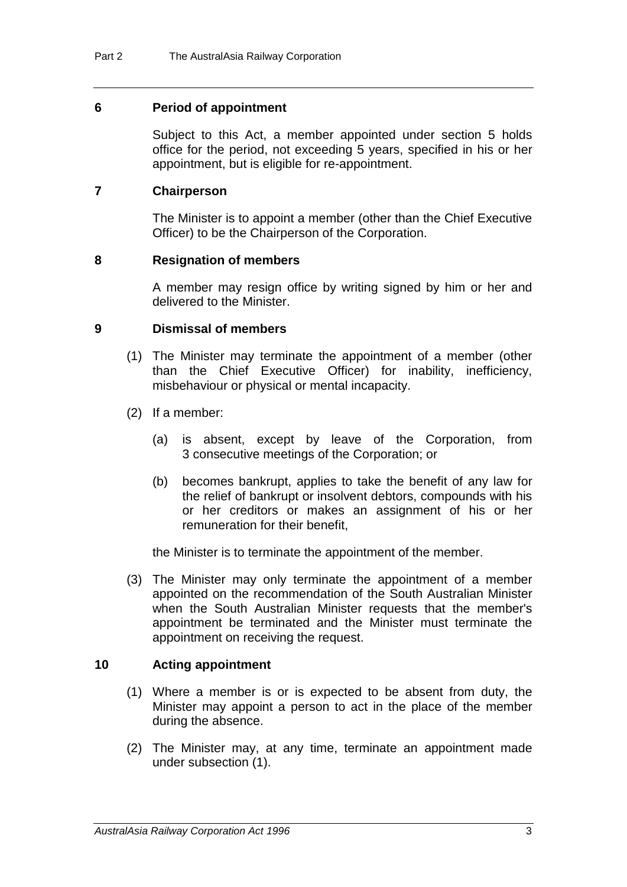## **6 Period of appointment**

Subject to this Act, a member appointed under section 5 holds office for the period, not exceeding 5 years, specified in his or her appointment, but is eligible for re-appointment.

## **7 Chairperson**

The Minister is to appoint a member (other than the Chief Executive Officer) to be the Chairperson of the Corporation.

## **8 Resignation of members**

A member may resign office by writing signed by him or her and delivered to the Minister.

## **9 Dismissal of members**

- (1) The Minister may terminate the appointment of a member (other than the Chief Executive Officer) for inability, inefficiency, misbehaviour or physical or mental incapacity.
- (2) If a member:
	- (a) is absent, except by leave of the Corporation, from 3 consecutive meetings of the Corporation; or
	- (b) becomes bankrupt, applies to take the benefit of any law for the relief of bankrupt or insolvent debtors, compounds with his or her creditors or makes an assignment of his or her remuneration for their benefit,

the Minister is to terminate the appointment of the member.

(3) The Minister may only terminate the appointment of a member appointed on the recommendation of the South Australian Minister when the South Australian Minister requests that the member's appointment be terminated and the Minister must terminate the appointment on receiving the request.

## **10 Acting appointment**

- (1) Where a member is or is expected to be absent from duty, the Minister may appoint a person to act in the place of the member during the absence.
- (2) The Minister may, at any time, terminate an appointment made under subsection (1).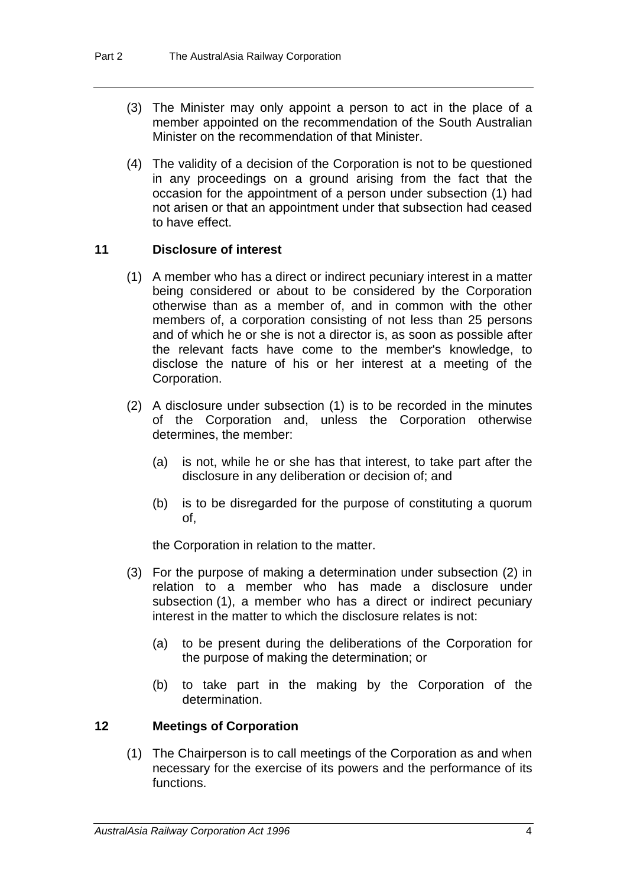- (3) The Minister may only appoint a person to act in the place of a member appointed on the recommendation of the South Australian Minister on the recommendation of that Minister.
- (4) The validity of a decision of the Corporation is not to be questioned in any proceedings on a ground arising from the fact that the occasion for the appointment of a person under subsection (1) had not arisen or that an appointment under that subsection had ceased to have effect.

## **11 Disclosure of interest**

- (1) A member who has a direct or indirect pecuniary interest in a matter being considered or about to be considered by the Corporation otherwise than as a member of, and in common with the other members of, a corporation consisting of not less than 25 persons and of which he or she is not a director is, as soon as possible after the relevant facts have come to the member's knowledge, to disclose the nature of his or her interest at a meeting of the Corporation.
- (2) A disclosure under subsection (1) is to be recorded in the minutes of the Corporation and, unless the Corporation otherwise determines, the member:
	- (a) is not, while he or she has that interest, to take part after the disclosure in any deliberation or decision of; and
	- (b) is to be disregarded for the purpose of constituting a quorum of,

the Corporation in relation to the matter.

- (3) For the purpose of making a determination under subsection (2) in relation to a member who has made a disclosure under subsection (1), a member who has a direct or indirect pecuniary interest in the matter to which the disclosure relates is not:
	- (a) to be present during the deliberations of the Corporation for the purpose of making the determination; or
	- (b) to take part in the making by the Corporation of the determination.

## **12 Meetings of Corporation**

(1) The Chairperson is to call meetings of the Corporation as and when necessary for the exercise of its powers and the performance of its functions.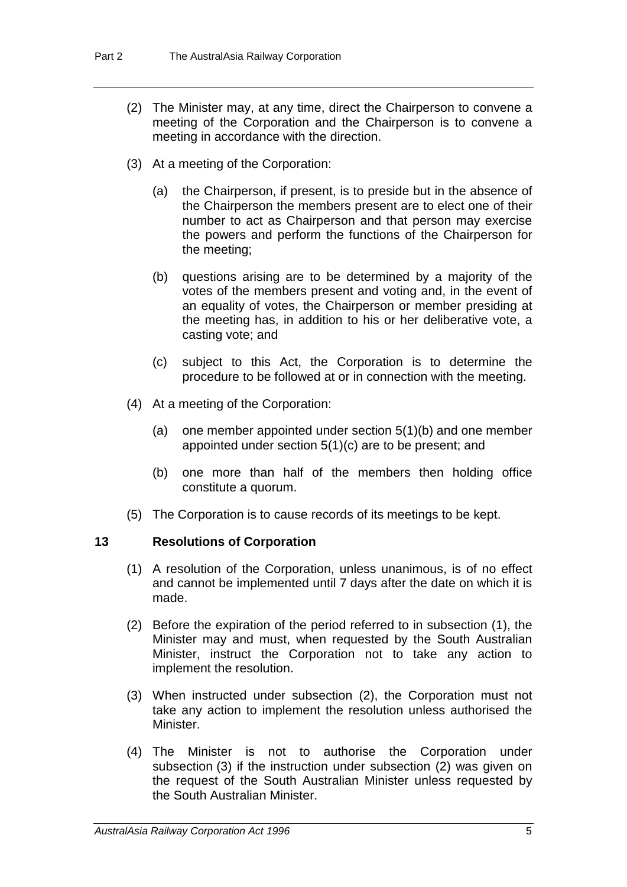- (2) The Minister may, at any time, direct the Chairperson to convene a meeting of the Corporation and the Chairperson is to convene a meeting in accordance with the direction.
- (3) At a meeting of the Corporation:
	- (a) the Chairperson, if present, is to preside but in the absence of the Chairperson the members present are to elect one of their number to act as Chairperson and that person may exercise the powers and perform the functions of the Chairperson for the meeting;
	- (b) questions arising are to be determined by a majority of the votes of the members present and voting and, in the event of an equality of votes, the Chairperson or member presiding at the meeting has, in addition to his or her deliberative vote, a casting vote; and
	- (c) subject to this Act, the Corporation is to determine the procedure to be followed at or in connection with the meeting.
- (4) At a meeting of the Corporation:
	- (a) one member appointed under section 5(1)(b) and one member appointed under section 5(1)(c) are to be present; and
	- (b) one more than half of the members then holding office constitute a quorum.
- (5) The Corporation is to cause records of its meetings to be kept.

## **13 Resolutions of Corporation**

- (1) A resolution of the Corporation, unless unanimous, is of no effect and cannot be implemented until 7 days after the date on which it is made.
- (2) Before the expiration of the period referred to in subsection (1), the Minister may and must, when requested by the South Australian Minister, instruct the Corporation not to take any action to implement the resolution.
- (3) When instructed under subsection (2), the Corporation must not take any action to implement the resolution unless authorised the Minister.
- (4) The Minister is not to authorise the Corporation under subsection (3) if the instruction under subsection (2) was given on the request of the South Australian Minister unless requested by the South Australian Minister.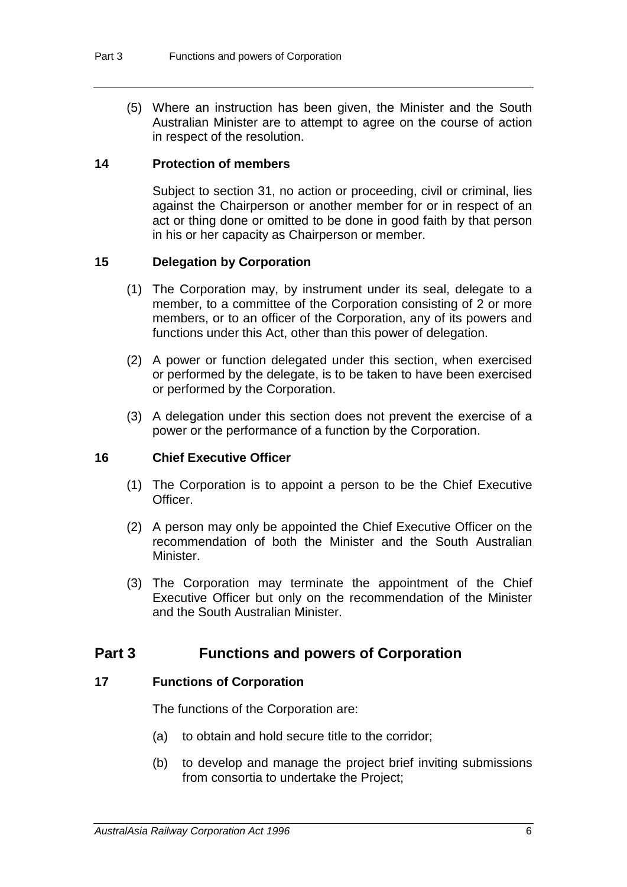(5) Where an instruction has been given, the Minister and the South Australian Minister are to attempt to agree on the course of action in respect of the resolution.

## **14 Protection of members**

Subject to section 31, no action or proceeding, civil or criminal, lies against the Chairperson or another member for or in respect of an act or thing done or omitted to be done in good faith by that person in his or her capacity as Chairperson or member.

## **15 Delegation by Corporation**

- (1) The Corporation may, by instrument under its seal, delegate to a member, to a committee of the Corporation consisting of 2 or more members, or to an officer of the Corporation, any of its powers and functions under this Act, other than this power of delegation.
- (2) A power or function delegated under this section, when exercised or performed by the delegate, is to be taken to have been exercised or performed by the Corporation.
- (3) A delegation under this section does not prevent the exercise of a power or the performance of a function by the Corporation.

## **16 Chief Executive Officer**

- (1) The Corporation is to appoint a person to be the Chief Executive Officer.
- (2) A person may only be appointed the Chief Executive Officer on the recommendation of both the Minister and the South Australian Minister.
- (3) The Corporation may terminate the appointment of the Chief Executive Officer but only on the recommendation of the Minister and the South Australian Minister.

## **Part 3 Functions and powers of Corporation**

## **17 Functions of Corporation**

The functions of the Corporation are:

- (a) to obtain and hold secure title to the corridor;
- (b) to develop and manage the project brief inviting submissions from consortia to undertake the Project;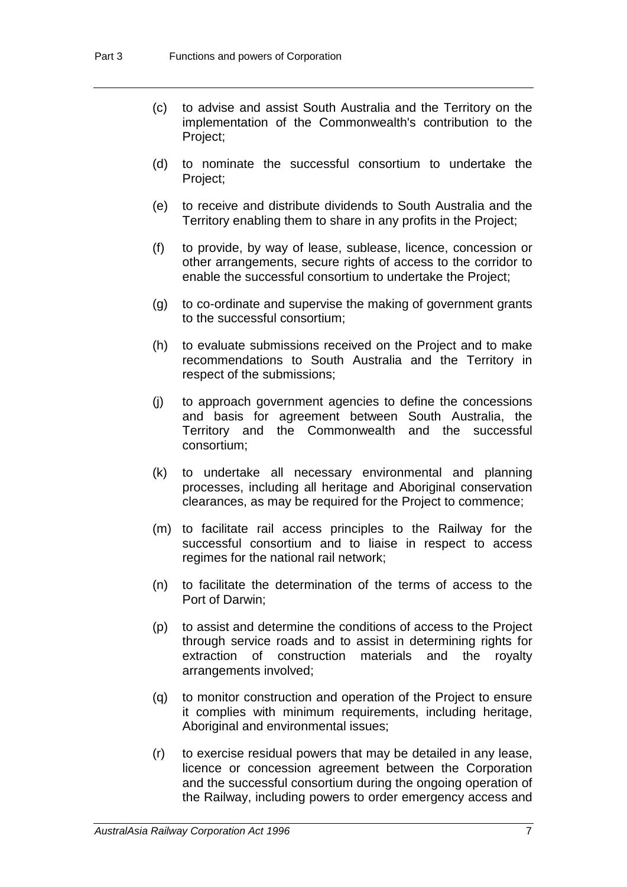- (c) to advise and assist South Australia and the Territory on the implementation of the Commonwealth's contribution to the Project;
- (d) to nominate the successful consortium to undertake the Project;
- (e) to receive and distribute dividends to South Australia and the Territory enabling them to share in any profits in the Project;
- (f) to provide, by way of lease, sublease, licence, concession or other arrangements, secure rights of access to the corridor to enable the successful consortium to undertake the Project;
- (g) to co-ordinate and supervise the making of government grants to the successful consortium;
- (h) to evaluate submissions received on the Project and to make recommendations to South Australia and the Territory in respect of the submissions;
- (j) to approach government agencies to define the concessions and basis for agreement between South Australia, the Territory and the Commonwealth and the successful consortium;
- (k) to undertake all necessary environmental and planning processes, including all heritage and Aboriginal conservation clearances, as may be required for the Project to commence;
- (m) to facilitate rail access principles to the Railway for the successful consortium and to liaise in respect to access regimes for the national rail network;
- (n) to facilitate the determination of the terms of access to the Port of Darwin;
- (p) to assist and determine the conditions of access to the Project through service roads and to assist in determining rights for extraction of construction materials and the royalty arrangements involved;
- (q) to monitor construction and operation of the Project to ensure it complies with minimum requirements, including heritage, Aboriginal and environmental issues;
- (r) to exercise residual powers that may be detailed in any lease, licence or concession agreement between the Corporation and the successful consortium during the ongoing operation of the Railway, including powers to order emergency access and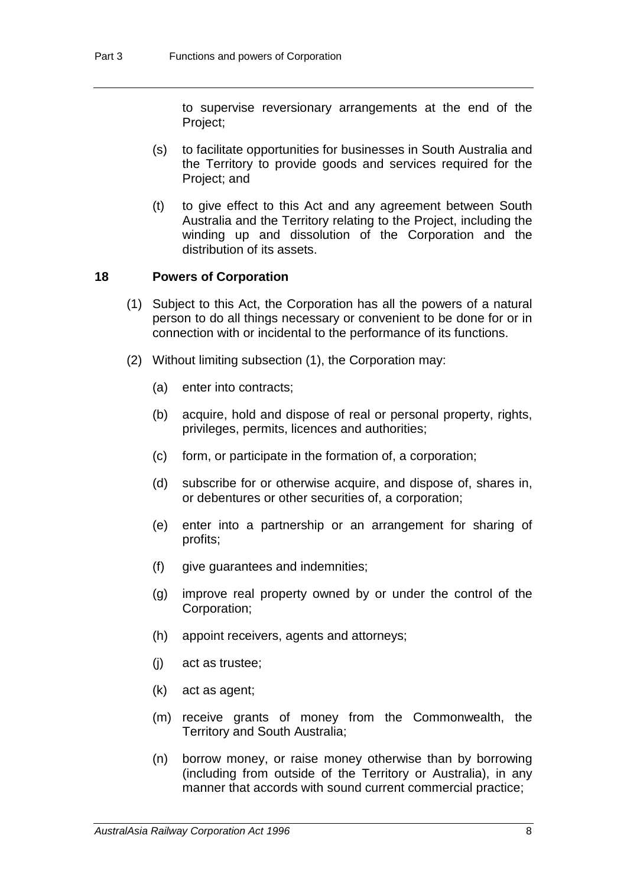to supervise reversionary arrangements at the end of the Project;

- (s) to facilitate opportunities for businesses in South Australia and the Territory to provide goods and services required for the Project; and
- (t) to give effect to this Act and any agreement between South Australia and the Territory relating to the Project, including the winding up and dissolution of the Corporation and the distribution of its assets.

## **18 Powers of Corporation**

- (1) Subject to this Act, the Corporation has all the powers of a natural person to do all things necessary or convenient to be done for or in connection with or incidental to the performance of its functions.
- (2) Without limiting subsection (1), the Corporation may:
	- (a) enter into contracts;
	- (b) acquire, hold and dispose of real or personal property, rights, privileges, permits, licences and authorities;
	- (c) form, or participate in the formation of, a corporation;
	- (d) subscribe for or otherwise acquire, and dispose of, shares in, or debentures or other securities of, a corporation;
	- (e) enter into a partnership or an arrangement for sharing of profits;
	- (f) give guarantees and indemnities;
	- (g) improve real property owned by or under the control of the Corporation;
	- (h) appoint receivers, agents and attorneys;
	- (j) act as trustee;
	- (k) act as agent;
	- (m) receive grants of money from the Commonwealth, the Territory and South Australia;
	- (n) borrow money, or raise money otherwise than by borrowing (including from outside of the Territory or Australia), in any manner that accords with sound current commercial practice;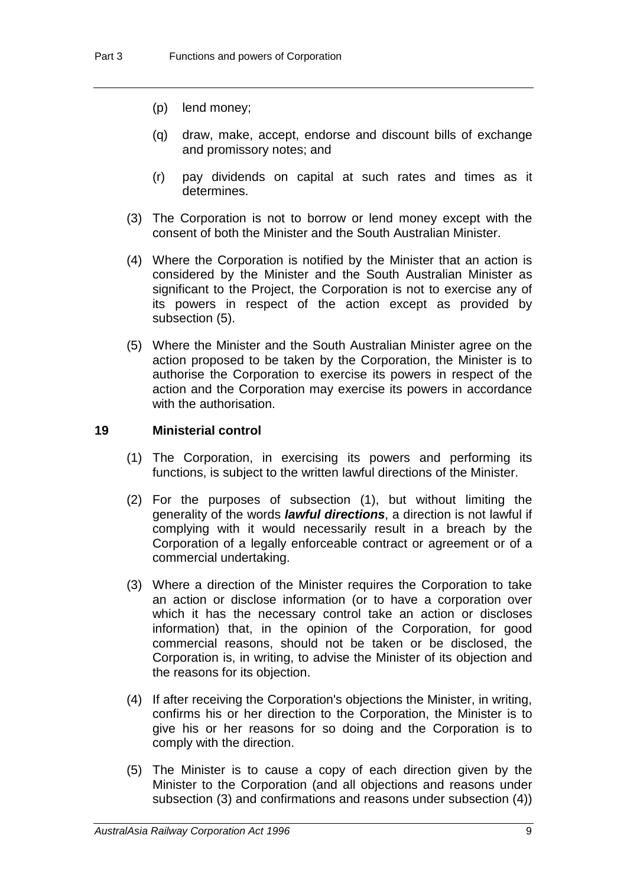- (p) lend money;
- (q) draw, make, accept, endorse and discount bills of exchange and promissory notes; and
- (r) pay dividends on capital at such rates and times as it determines.
- (3) The Corporation is not to borrow or lend money except with the consent of both the Minister and the South Australian Minister.
- (4) Where the Corporation is notified by the Minister that an action is considered by the Minister and the South Australian Minister as significant to the Project, the Corporation is not to exercise any of its powers in respect of the action except as provided by subsection (5).
- (5) Where the Minister and the South Australian Minister agree on the action proposed to be taken by the Corporation, the Minister is to authorise the Corporation to exercise its powers in respect of the action and the Corporation may exercise its powers in accordance with the authorisation.

## **19 Ministerial control**

- (1) The Corporation, in exercising its powers and performing its functions, is subject to the written lawful directions of the Minister.
- (2) For the purposes of subsection (1), but without limiting the generality of the words *lawful directions*, a direction is not lawful if complying with it would necessarily result in a breach by the Corporation of a legally enforceable contract or agreement or of a commercial undertaking.
- (3) Where a direction of the Minister requires the Corporation to take an action or disclose information (or to have a corporation over which it has the necessary control take an action or discloses information) that, in the opinion of the Corporation, for good commercial reasons, should not be taken or be disclosed, the Corporation is, in writing, to advise the Minister of its objection and the reasons for its objection.
- (4) If after receiving the Corporation's objections the Minister, in writing, confirms his or her direction to the Corporation, the Minister is to give his or her reasons for so doing and the Corporation is to comply with the direction.
- (5) The Minister is to cause a copy of each direction given by the Minister to the Corporation (and all objections and reasons under subsection (3) and confirmations and reasons under subsection (4))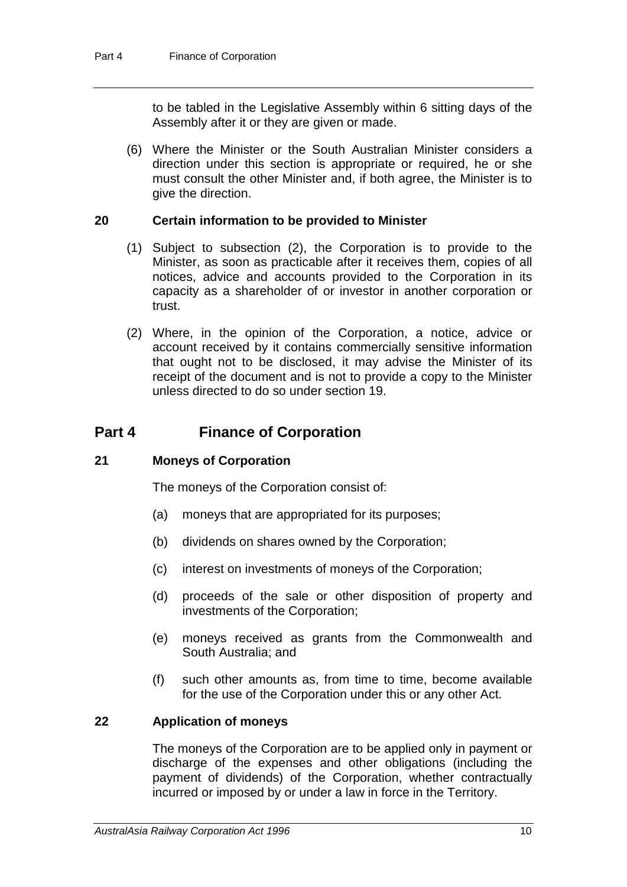to be tabled in the Legislative Assembly within 6 sitting days of the Assembly after it or they are given or made.

(6) Where the Minister or the South Australian Minister considers a direction under this section is appropriate or required, he or she must consult the other Minister and, if both agree, the Minister is to give the direction.

## **20 Certain information to be provided to Minister**

- (1) Subject to subsection (2), the Corporation is to provide to the Minister, as soon as practicable after it receives them, copies of all notices, advice and accounts provided to the Corporation in its capacity as a shareholder of or investor in another corporation or trust.
- (2) Where, in the opinion of the Corporation, a notice, advice or account received by it contains commercially sensitive information that ought not to be disclosed, it may advise the Minister of its receipt of the document and is not to provide a copy to the Minister unless directed to do so under section 19.

## **Part 4 Finance of Corporation**

#### **21 Moneys of Corporation**

The moneys of the Corporation consist of:

- (a) moneys that are appropriated for its purposes;
- (b) dividends on shares owned by the Corporation;
- (c) interest on investments of moneys of the Corporation;
- (d) proceeds of the sale or other disposition of property and investments of the Corporation;
- (e) moneys received as grants from the Commonwealth and South Australia; and
- (f) such other amounts as, from time to time, become available for the use of the Corporation under this or any other Act.

## **22 Application of moneys**

The moneys of the Corporation are to be applied only in payment or discharge of the expenses and other obligations (including the payment of dividends) of the Corporation, whether contractually incurred or imposed by or under a law in force in the Territory.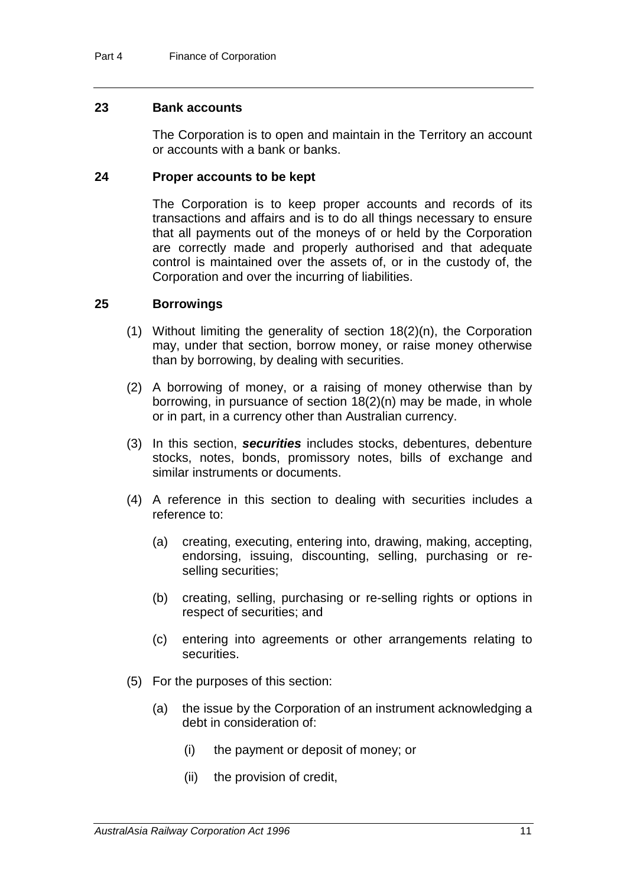## **23 Bank accounts**

The Corporation is to open and maintain in the Territory an account or accounts with a bank or banks.

#### **24 Proper accounts to be kept**

The Corporation is to keep proper accounts and records of its transactions and affairs and is to do all things necessary to ensure that all payments out of the moneys of or held by the Corporation are correctly made and properly authorised and that adequate control is maintained over the assets of, or in the custody of, the Corporation and over the incurring of liabilities.

## **25 Borrowings**

- (1) Without limiting the generality of section 18(2)(n), the Corporation may, under that section, borrow money, or raise money otherwise than by borrowing, by dealing with securities.
- (2) A borrowing of money, or a raising of money otherwise than by borrowing, in pursuance of section 18(2)(n) may be made, in whole or in part, in a currency other than Australian currency.
- (3) In this section, *securities* includes stocks, debentures, debenture stocks, notes, bonds, promissory notes, bills of exchange and similar instruments or documents.
- (4) A reference in this section to dealing with securities includes a reference to:
	- (a) creating, executing, entering into, drawing, making, accepting, endorsing, issuing, discounting, selling, purchasing or reselling securities:
	- (b) creating, selling, purchasing or re-selling rights or options in respect of securities; and
	- (c) entering into agreements or other arrangements relating to securities.
- (5) For the purposes of this section:
	- (a) the issue by the Corporation of an instrument acknowledging a debt in consideration of:
		- (i) the payment or deposit of money; or
		- (ii) the provision of credit,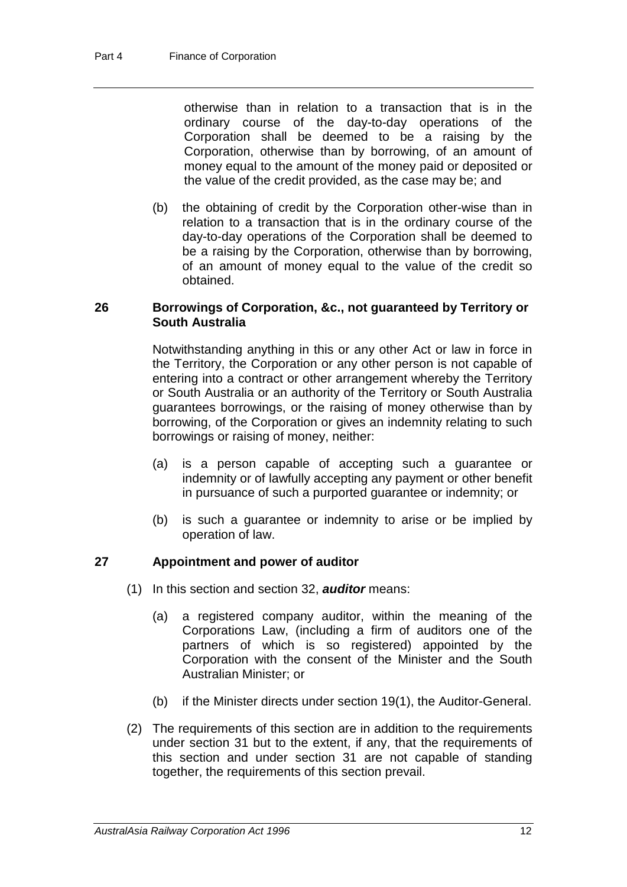otherwise than in relation to a transaction that is in the ordinary course of the day-to-day operations of the Corporation shall be deemed to be a raising by the Corporation, otherwise than by borrowing, of an amount of money equal to the amount of the money paid or deposited or the value of the credit provided, as the case may be; and

(b) the obtaining of credit by the Corporation other-wise than in relation to a transaction that is in the ordinary course of the day-to-day operations of the Corporation shall be deemed to be a raising by the Corporation, otherwise than by borrowing, of an amount of money equal to the value of the credit so obtained.

## **26 Borrowings of Corporation, &c., not guaranteed by Territory or South Australia**

Notwithstanding anything in this or any other Act or law in force in the Territory, the Corporation or any other person is not capable of entering into a contract or other arrangement whereby the Territory or South Australia or an authority of the Territory or South Australia guarantees borrowings, or the raising of money otherwise than by borrowing, of the Corporation or gives an indemnity relating to such borrowings or raising of money, neither:

- (a) is a person capable of accepting such a guarantee or indemnity or of lawfully accepting any payment or other benefit in pursuance of such a purported guarantee or indemnity; or
- (b) is such a guarantee or indemnity to arise or be implied by operation of law.

## **27 Appointment and power of auditor**

- (1) In this section and section 32, *auditor* means:
	- (a) a registered company auditor, within the meaning of the Corporations Law, (including a firm of auditors one of the partners of which is so registered) appointed by the Corporation with the consent of the Minister and the South Australian Minister; or
	- (b) if the Minister directs under section 19(1), the Auditor-General.
- (2) The requirements of this section are in addition to the requirements under section 31 but to the extent, if any, that the requirements of this section and under section 31 are not capable of standing together, the requirements of this section prevail.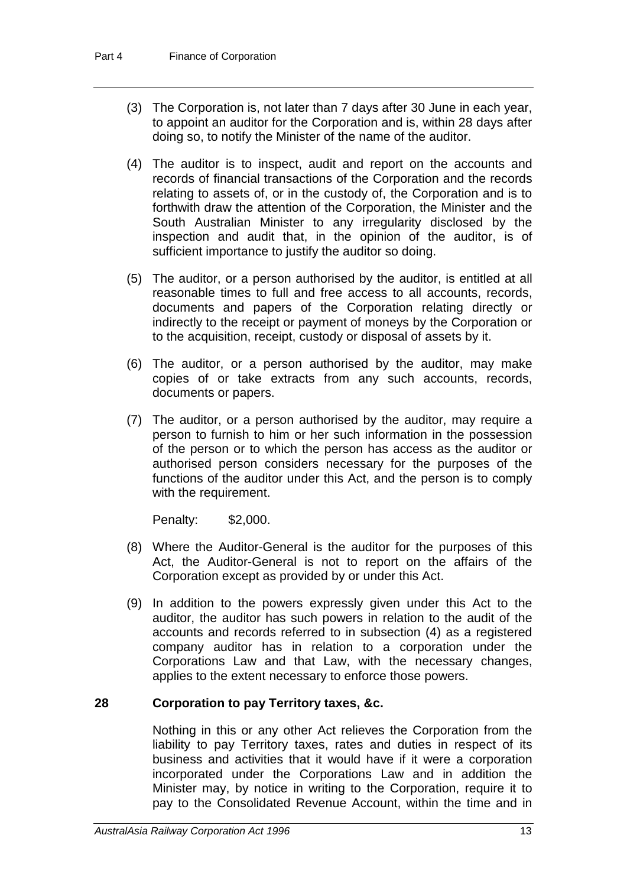- (3) The Corporation is, not later than 7 days after 30 June in each year, to appoint an auditor for the Corporation and is, within 28 days after doing so, to notify the Minister of the name of the auditor.
- (4) The auditor is to inspect, audit and report on the accounts and records of financial transactions of the Corporation and the records relating to assets of, or in the custody of, the Corporation and is to forthwith draw the attention of the Corporation, the Minister and the South Australian Minister to any irregularity disclosed by the inspection and audit that, in the opinion of the auditor, is of sufficient importance to justify the auditor so doing.
- (5) The auditor, or a person authorised by the auditor, is entitled at all reasonable times to full and free access to all accounts, records, documents and papers of the Corporation relating directly or indirectly to the receipt or payment of moneys by the Corporation or to the acquisition, receipt, custody or disposal of assets by it.
- (6) The auditor, or a person authorised by the auditor, may make copies of or take extracts from any such accounts, records, documents or papers.
- (7) The auditor, or a person authorised by the auditor, may require a person to furnish to him or her such information in the possession of the person or to which the person has access as the auditor or authorised person considers necessary for the purposes of the functions of the auditor under this Act, and the person is to comply with the requirement.

Penalty: \$2,000.

- (8) Where the Auditor-General is the auditor for the purposes of this Act, the Auditor-General is not to report on the affairs of the Corporation except as provided by or under this Act.
- (9) In addition to the powers expressly given under this Act to the auditor, the auditor has such powers in relation to the audit of the accounts and records referred to in subsection (4) as a registered company auditor has in relation to a corporation under the Corporations Law and that Law, with the necessary changes, applies to the extent necessary to enforce those powers.

## **28 Corporation to pay Territory taxes, &c.**

Nothing in this or any other Act relieves the Corporation from the liability to pay Territory taxes, rates and duties in respect of its business and activities that it would have if it were a corporation incorporated under the Corporations Law and in addition the Minister may, by notice in writing to the Corporation, require it to pay to the Consolidated Revenue Account, within the time and in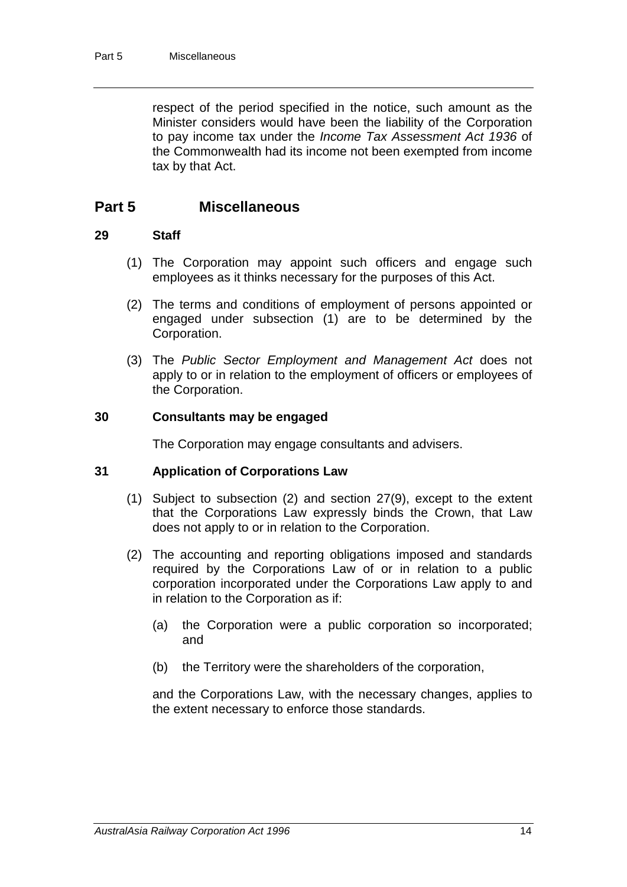respect of the period specified in the notice, such amount as the Minister considers would have been the liability of the Corporation to pay income tax under the *Income Tax Assessment Act 1936* of the Commonwealth had its income not been exempted from income tax by that Act.

## **Part 5 Miscellaneous**

## **29 Staff**

- (1) The Corporation may appoint such officers and engage such employees as it thinks necessary for the purposes of this Act.
- (2) The terms and conditions of employment of persons appointed or engaged under subsection (1) are to be determined by the Corporation.
- (3) The *Public Sector Employment and Management Act* does not apply to or in relation to the employment of officers or employees of the Corporation.

## **30 Consultants may be engaged**

The Corporation may engage consultants and advisers.

## **31 Application of Corporations Law**

- (1) Subject to subsection (2) and section 27(9), except to the extent that the Corporations Law expressly binds the Crown, that Law does not apply to or in relation to the Corporation.
- (2) The accounting and reporting obligations imposed and standards required by the Corporations Law of or in relation to a public corporation incorporated under the Corporations Law apply to and in relation to the Corporation as if:
	- (a) the Corporation were a public corporation so incorporated; and
	- (b) the Territory were the shareholders of the corporation,

and the Corporations Law, with the necessary changes, applies to the extent necessary to enforce those standards.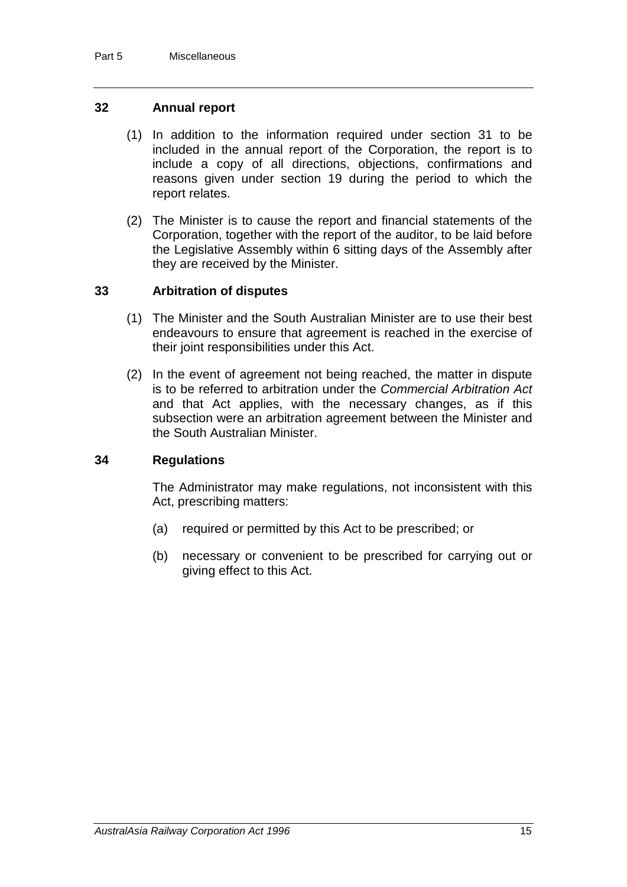## **32 Annual report**

- (1) In addition to the information required under section 31 to be included in the annual report of the Corporation, the report is to include a copy of all directions, objections, confirmations and reasons given under section 19 during the period to which the report relates.
- (2) The Minister is to cause the report and financial statements of the Corporation, together with the report of the auditor, to be laid before the Legislative Assembly within 6 sitting days of the Assembly after they are received by the Minister.

## **33 Arbitration of disputes**

- (1) The Minister and the South Australian Minister are to use their best endeavours to ensure that agreement is reached in the exercise of their joint responsibilities under this Act.
- (2) In the event of agreement not being reached, the matter in dispute is to be referred to arbitration under the *Commercial Arbitration Act* and that Act applies, with the necessary changes, as if this subsection were an arbitration agreement between the Minister and the South Australian Minister.

#### **34 Regulations**

The Administrator may make regulations, not inconsistent with this Act, prescribing matters:

- (a) required or permitted by this Act to be prescribed; or
- (b) necessary or convenient to be prescribed for carrying out or giving effect to this Act.